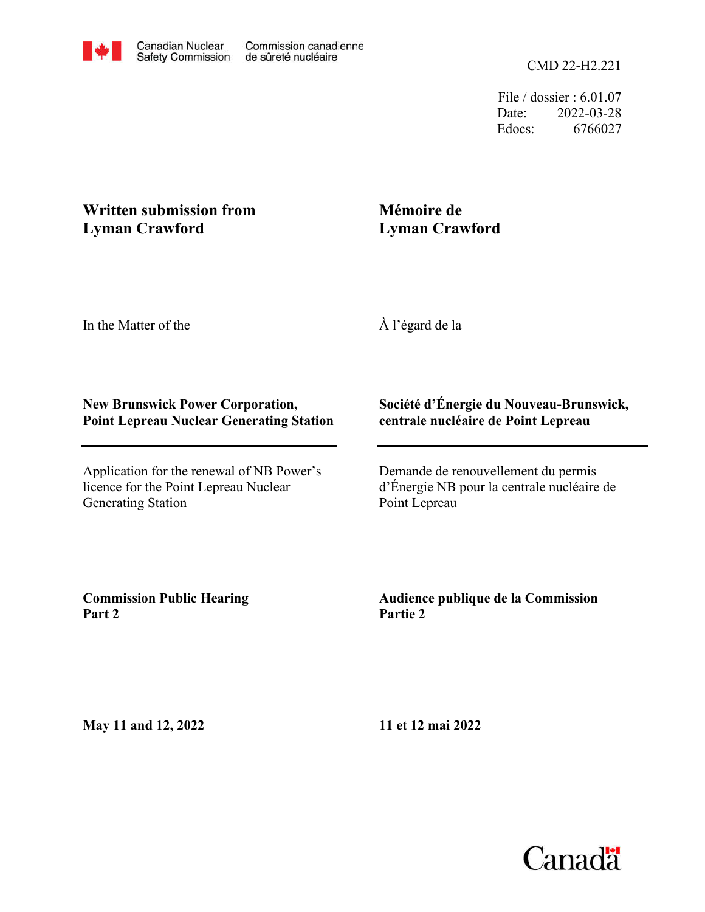File / dossier : 6.01.07 Date: 2022-03-28 Edocs: 6766027

# **Written submission from Lyman Crawford**

## **Mémoire de Lyman Crawford**

In the Matter of the

À l'égard de la

#### **New Brunswick Power Corporation, Point Lepreau Nuclear Generating Station**

Application for the renewal of NB Power's licence for the Point Lepreau Nuclear Generating Station

#### **Société d'Énergie du Nouveau-Brunswick, centrale nucléaire de Point Lepreau**

Demande de renouvellement du permis d'Énergie NB pour la centrale nucléaire de Point Lepreau

**Commission Public Hearing Part 2**

### **Audience publique de la Commission Partie 2**

**May 11 and 12, 2022**

**11 et 12 mai 2022**